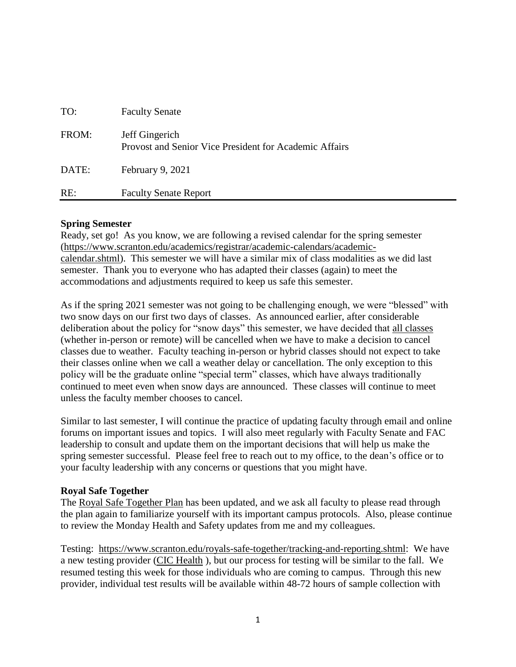| RE:   | <b>Faculty Senate Report</b>                                             |
|-------|--------------------------------------------------------------------------|
| DATE: | February 9, 2021                                                         |
| FROM: | Jeff Gingerich<br>Provost and Senior Vice President for Academic Affairs |
| TO:   | <b>Faculty Senate</b>                                                    |

## **Spring Semester**

Ready, set go!As you know, we are following a revised calendar for the spring semester [\(https://www.scranton.edu/academics/registrar/academic-calendars/academic](https://www.scranton.edu/academics/registrar/academic-calendars/academic-calendar.shtml)[calendar.shtml\)](https://www.scranton.edu/academics/registrar/academic-calendars/academic-calendar.shtml). This semester we will have a similar mix of class modalities as we did last semester. Thank you to everyone who has adapted their classes (again) to meet the accommodations and adjustments required to keep us safe this semester.

As if the spring 2021 semester was not going to be challenging enough, we were "blessed" with two snow days on our first two days of classes. As announced earlier, after considerable deliberation about the policy for "snow days" this semester, we have decided that all classes (whether in-person or remote) will be cancelled when we have to make a decision to cancel classes due to weather. Faculty teaching in-person or hybrid classes should not expect to take their classes online when we call a weather delay or cancellation. The only exception to this policy will be the graduate online "special term" classes, which have always traditionally continued to meet even when snow days are announced. These classes will continue to meet unless the faculty member chooses to cancel.

Similar to last semester, I will continue the practice of updating faculty through email and online forums on important issues and topics. I will also meet regularly with Faculty Senate and FAC leadership to consult and update them on the important decisions that will help us make the spring semester successful. Please feel free to reach out to my office, to the dean's office or to your faculty leadership with any concerns or questions that you might have.

# **Royal Safe Together**

The [Royal Safe Together Plan](https://www.scranton.edu/royals-safe-together/index.shtml) has been updated, and we ask all faculty to please read through the plan again to familiarize yourself with its important campus protocols. Also, please continue to review the Monday Health and Safety updates from me and my colleagues.

Testing: [https://www.scranton.edu/royals-safe-together/tracking-and-reporting.shtml:](https://www.scranton.edu/royals-safe-together/tracking-and-reporting.shtml) We have a new testing provider [\(CIC Health](https://nam10.safelinks.protection.outlook.com/?url=https%3A%2F%2Fwww.cic-health.com%2F&data=04%7C01%7Cpeggy.burke%40scranton.edu%7C67e84081a4a244d4d3dc08d8c244ffc7%7Ca8edc49a41f14c699768a7f6d7c3b8c3%7C0%7C0%7C637472948886797977%7CUnknown%7CTWFpbGZsb3d8eyJWIjoiMC4wLjAwMDAiLCJQIjoiV2luMzIiLCJBTiI6Ik1haWwiLCJXVCI6Mn0%3D%7C1000&sdata=5635o%2BzONK%2BNQNBL0w0q69k4OylSVk%2BrjEmzkjUpuU0%3D&reserved=0) ), but our process for testing will be similar to the fall. We resumed testing this week for those individuals who are coming to campus. Through this new provider, individual test results will be available within 48-72 hours of sample collection with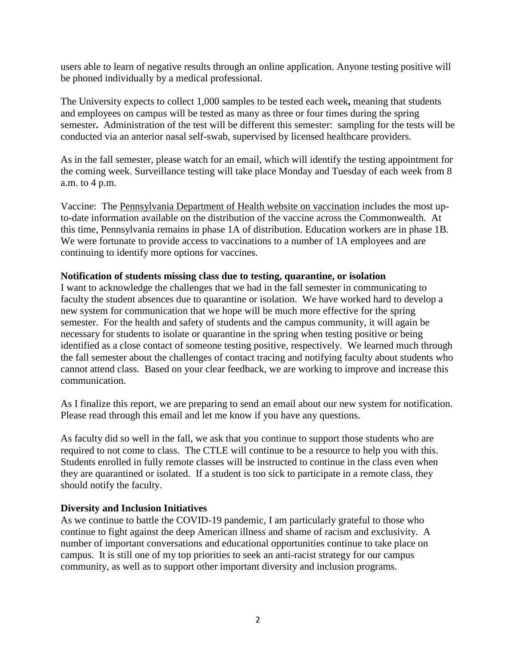users able to learn of negative results through an online application. Anyone testing positive will be phoned individually by a medical professional.

The University expects to collect 1,000 samples to be tested each week**,** meaning that students and employees on campus will be tested as many as three or four times during the spring semester**.** Administration of the test will be different this semester: sampling for the tests will be conducted via an anterior nasal self-swab, supervised by licensed healthcare providers.

As in the fall semester, please watch for an email, which will identify the testing appointment for the coming week. Surveillance testing will take place Monday and Tuesday of each week from 8 a.m. to 4 p.m.

Vaccine: The [Pennsylvania Department of Health website on vaccination](https://nam10.safelinks.protection.outlook.com/?url=https%3A%2F%2Fwww.health.pa.gov%2Ftopics%2Fdisease%2Fcoronavirus%2FVaccine%2FPages%2FVaccine.aspx&data=04%7C01%7Cpeggy.burke%40scranton.edu%7C67e84081a4a244d4d3dc08d8c244ffc7%7Ca8edc49a41f14c699768a7f6d7c3b8c3%7C0%7C0%7C637472948886807967%7CUnknown%7CTWFpbGZsb3d8eyJWIjoiMC4wLjAwMDAiLCJQIjoiV2luMzIiLCJBTiI6Ik1haWwiLCJXVCI6Mn0%3D%7C1000&sdata=%2BivLewLSzzb06%2Bzdbuvmg761z3y65EIHvEEAEFXOLqA%3D&reserved=0) includes the most upto-date information available on the distribution of the vaccine across the Commonwealth. At this time, Pennsylvania remains in phase 1A of distribution. Education workers are in phase 1B. We were fortunate to provide access to vaccinations to a number of 1A employees and are continuing to identify more options for vaccines.

# **Notification of students missing class due to testing, quarantine, or isolation**

I want to acknowledge the challenges that we had in the fall semester in communicating to faculty the student absences due to quarantine or isolation. We have worked hard to develop a new system for communication that we hope will be much more effective for the spring semester. For the health and safety of students and the campus community, it will again be necessary for students to isolate or quarantine in the spring when testing positive or being identified as a close contact of someone testing positive, respectively. We learned much through the fall semester about the challenges of contact tracing and notifying faculty about students who cannot attend class. Based on your clear feedback, we are working to improve and increase this communication.

As I finalize this report, we are preparing to send an email about our new system for notification. Please read through this email and let me know if you have any questions.

As faculty did so well in the fall, we ask that you continue to support those students who are required to not come to class. The CTLE will continue to be a resource to help you with this. Students enrolled in fully remote classes will be instructed to continue in the class even when they are quarantined or isolated. If a student is too sick to participate in a remote class, they should notify the faculty.

# **Diversity and Inclusion Initiatives**

As we continue to battle the COVID-19 pandemic, I am particularly grateful to those who continue to fight against the deep American illness and shame of racism and exclusivity. A number of important conversations and educational opportunities continue to take place on campus. It is still one of my top priorities to seek an anti-racist strategy for our campus community, as well as to support other important diversity and inclusion programs.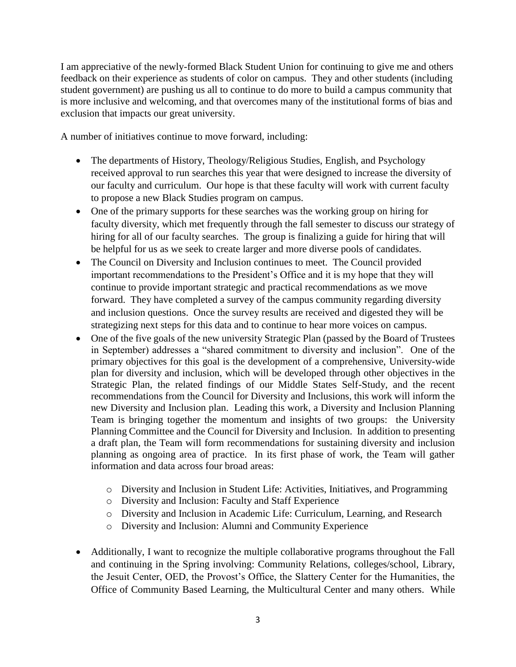I am appreciative of the newly-formed Black Student Union for continuing to give me and others feedback on their experience as students of color on campus. They and other students (including student government) are pushing us all to continue to do more to build a campus community that is more inclusive and welcoming, and that overcomes many of the institutional forms of bias and exclusion that impacts our great university.

A number of initiatives continue to move forward, including:

- The departments of History, Theology/Religious Studies, English, and Psychology received approval to run searches this year that were designed to increase the diversity of our faculty and curriculum. Our hope is that these faculty will work with current faculty to propose a new Black Studies program on campus.
- One of the primary supports for these searches was the working group on hiring for faculty diversity, which met frequently through the fall semester to discuss our strategy of hiring for all of our faculty searches. The group is finalizing a guide for hiring that will be helpful for us as we seek to create larger and more diverse pools of candidates.
- The Council on Diversity and Inclusion continues to meet. The Council provided important recommendations to the President's Office and it is my hope that they will continue to provide important strategic and practical recommendations as we move forward. They have completed a survey of the campus community regarding diversity and inclusion questions. Once the survey results are received and digested they will be strategizing next steps for this data and to continue to hear more voices on campus.
- One of the five goals of the new university Strategic Plan (passed by the Board of Trustees in September) addresses a "shared commitment to diversity and inclusion". One of the primary objectives for this goal is the development of a comprehensive, University-wide plan for diversity and inclusion, which will be developed through other objectives in the Strategic Plan, the related findings of our Middle States Self-Study, and the recent recommendations from the Council for Diversity and Inclusions, this work will inform the new Diversity and Inclusion plan. Leading this work, a Diversity and Inclusion Planning Team is bringing together the momentum and insights of two groups: the University Planning Committee and the Council for Diversity and Inclusion. In addition to presenting a draft plan, the Team will form recommendations for sustaining diversity and inclusion planning as ongoing area of practice. In its first phase of work, the Team will gather information and data across four broad areas:
	- o Diversity and Inclusion in Student Life: Activities, Initiatives, and Programming
	- o Diversity and Inclusion: Faculty and Staff Experience
	- o Diversity and Inclusion in Academic Life: Curriculum, Learning, and Research
	- o Diversity and Inclusion: Alumni and Community Experience
- Additionally, I want to recognize the multiple collaborative programs throughout the Fall and continuing in the Spring involving: Community Relations, colleges/school, Library, the Jesuit Center, OED, the Provost's Office, the Slattery Center for the Humanities, the Office of Community Based Learning, the Multicultural Center and many others. While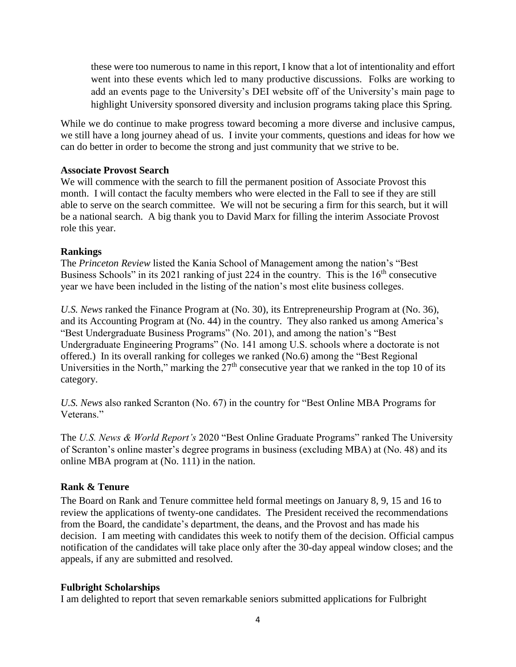these were too numerous to name in this report, I know that a lot of intentionality and effort went into these events which led to many productive discussions. Folks are working to add an events page to the University's DEI website off of the University's main page to highlight University sponsored diversity and inclusion programs taking place this Spring.

While we do continue to make progress toward becoming a more diverse and inclusive campus, we still have a long journey ahead of us. I invite your comments, questions and ideas for how we can do better in order to become the strong and just community that we strive to be.

## **Associate Provost Search**

We will commence with the search to fill the permanent position of Associate Provost this month. I will contact the faculty members who were elected in the Fall to see if they are still able to serve on the search committee. We will not be securing a firm for this search, but it will be a national search. A big thank you to David Marx for filling the interim Associate Provost role this year.

## **Rankings**

The *Princeton Review* listed the Kania School of Management among the nation's "Best Business Schools" in its 2021 ranking of just 224 in the country. This is the 16<sup>th</sup> consecutive year we have been included in the listing of the nation's most elite business colleges.

*U.S. News* ranked the Finance Program at (No. 30), its Entrepreneurship Program at (No. 36), and its Accounting Program at (No. 44) in the country. They also ranked us among America's "Best Undergraduate Business Programs" (No. 201), and among the nation's "Best Undergraduate Engineering Programs" (No. 141 among U.S. schools where a doctorate is not offered.) In its overall ranking for colleges we ranked (No.6) among the "Best Regional Universities in the North," marking the  $27<sup>th</sup>$  consecutive year that we ranked in the top 10 of its category.

*U.S. News* also ranked Scranton (No. 67) in the country for "Best Online MBA Programs for Veterans."

The *U.S. News & World Report's* 2020 "Best Online Graduate Programs" ranked The University of Scranton's online master's degree programs in business (excluding MBA) at (No. 48) and its online MBA program at (No. 111) in the nation.

# **Rank & Tenure**

The Board on Rank and Tenure committee held formal meetings on January 8, 9, 15 and 16 to review the applications of twenty-one candidates. The President received the recommendations from the Board, the candidate's department, the deans, and the Provost and has made his decision. I am meeting with candidates this week to notify them of the decision. Official campus notification of the candidates will take place only after the 30-day appeal window closes; and the appeals, if any are submitted and resolved.

# **Fulbright Scholarships**

I am delighted to report that seven remarkable seniors submitted applications for Fulbright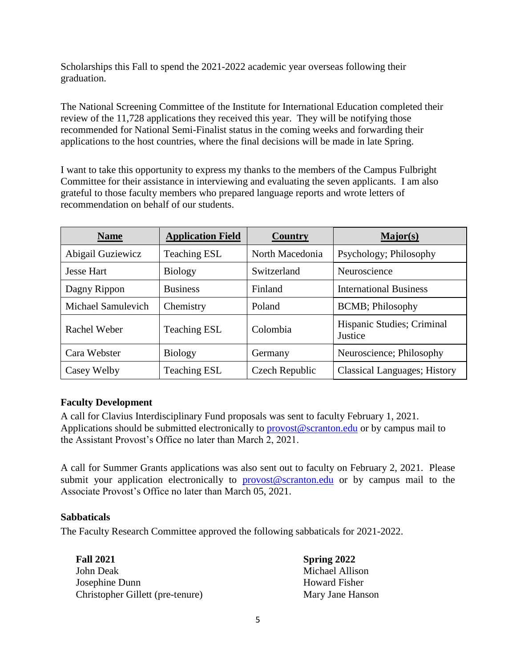Scholarships this Fall to spend the 2021-2022 academic year overseas following their graduation.

The National Screening Committee of the Institute for International Education completed their review of the 11,728 applications they received this year. They will be notifying those recommended for National Semi-Finalist status in the coming weeks and forwarding their applications to the host countries, where the final decisions will be made in late Spring.

I want to take this opportunity to express my thanks to the members of the Campus Fulbright Committee for their assistance in interviewing and evaluating the seven applicants. I am also grateful to those faculty members who prepared language reports and wrote letters of recommendation on behalf of our students.

| <b>Name</b>        | <b>Application Field</b> | <b>Country</b>  | Major(s)                              |
|--------------------|--------------------------|-----------------|---------------------------------------|
| Abigail Guziewicz  | <b>Teaching ESL</b>      | North Macedonia | Psychology; Philosophy                |
| <b>Jesse Hart</b>  | <b>Biology</b>           | Switzerland     | Neuroscience                          |
| Dagny Rippon       | <b>Business</b>          | Finland         | <b>International Business</b>         |
| Michael Samulevich | Chemistry                | Poland          | <b>BCMB</b> ; Philosophy              |
| Rachel Weber       | <b>Teaching ESL</b>      | Colombia        | Hispanic Studies; Criminal<br>Justice |
| Cara Webster       | <b>Biology</b>           | Germany         | Neuroscience; Philosophy              |
| Casey Welby        | <b>Teaching ESL</b>      | Czech Republic  | <b>Classical Languages</b> ; History  |

# **Faculty Development**

A call for Clavius Interdisciplinary Fund proposals was sent to faculty February 1, 2021. Applications should be submitted electronically to [provost@scranton.edu](mailto:provost@scranton.edu) or by campus mail to the Assistant Provost's Office no later than March 2, 2021.

A call for Summer Grants applications was also sent out to faculty on February 2, 2021. Please submit your application electronically to [provost@scranton.edu](mailto:provost@scranton.edu) or by campus mail to the Associate Provost's Office no later than March 05, 2021.

# **Sabbaticals**

The Faculty Research Committee approved the following sabbaticals for 2021-2022.

**Fall 2021 Spring 2022** John Deak Michael Allison Josephine Dunn Howard Fisher Christopher Gillett (pre-tenure) Mary Jane Hanson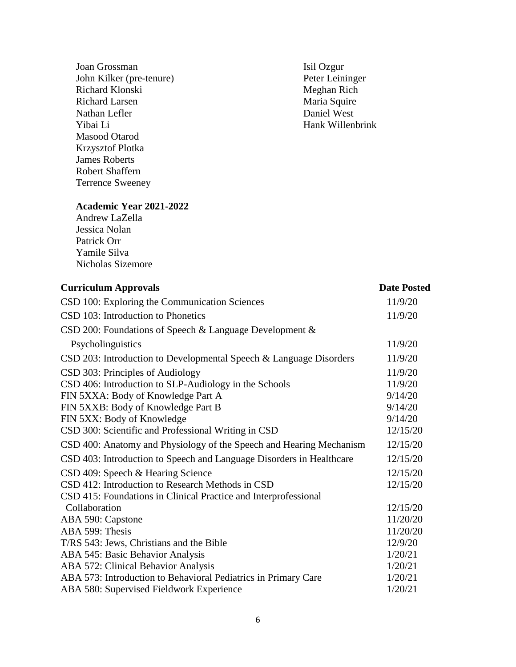Joan Grossman<br>
John Kilker (pre-tenure) Solid Ozgur<br>
Peter Leininger John Kilker (pre-tenure) Peter Leininge<br>
Richard Klonski<br>
Meghan Rich Richard Klonski Richard Larsen Maria Squire Nathan Lefler Daniel West Yibai Li Hank Willenbrink Masood Otarod Krzysztof Plotka James Roberts Robert Shaffern Terrence Sweeney

# **Academic Year 2021-2022**

Andrew LaZella Jessica Nolan Patrick Orr Yamile Silva Nicholas Sizemore

| <b>Curriculum Approvals</b>                                          | <b>Date Posted</b> |
|----------------------------------------------------------------------|--------------------|
| CSD 100: Exploring the Communication Sciences                        | 11/9/20            |
| CSD 103: Introduction to Phonetics                                   | 11/9/20            |
| CSD 200: Foundations of Speech & Language Development &              |                    |
| Psycholinguistics                                                    | 11/9/20            |
| CSD 203: Introduction to Developmental Speech & Language Disorders   | 11/9/20            |
| CSD 303: Principles of Audiology                                     | 11/9/20            |
| CSD 406: Introduction to SLP-Audiology in the Schools                | 11/9/20            |
| FIN 5XXA: Body of Knowledge Part A                                   | 9/14/20            |
| FIN 5XXB: Body of Knowledge Part B                                   | 9/14/20            |
| FIN 5XX: Body of Knowledge                                           | 9/14/20            |
| CSD 300: Scientific and Professional Writing in CSD                  | 12/15/20           |
| CSD 400: Anatomy and Physiology of the Speech and Hearing Mechanism  | 12/15/20           |
| CSD 403: Introduction to Speech and Language Disorders in Healthcare | 12/15/20           |
| CSD 409: Speech & Hearing Science                                    | 12/15/20           |
| CSD 412: Introduction to Research Methods in CSD                     | 12/15/20           |
| CSD 415: Foundations in Clinical Practice and Interprofessional      |                    |
| Collaboration                                                        | 12/15/20           |
| ABA 590: Capstone                                                    | 11/20/20           |
| ABA 599: Thesis                                                      | 11/20/20           |
| T/RS 543: Jews, Christians and the Bible                             | 12/9/20            |
| ABA 545: Basic Behavior Analysis                                     | 1/20/21            |
| ABA 572: Clinical Behavior Analysis                                  | 1/20/21            |
| ABA 573: Introduction to Behavioral Pediatrics in Primary Care       | 1/20/21            |
| ABA 580: Supervised Fieldwork Experience                             | 1/20/21            |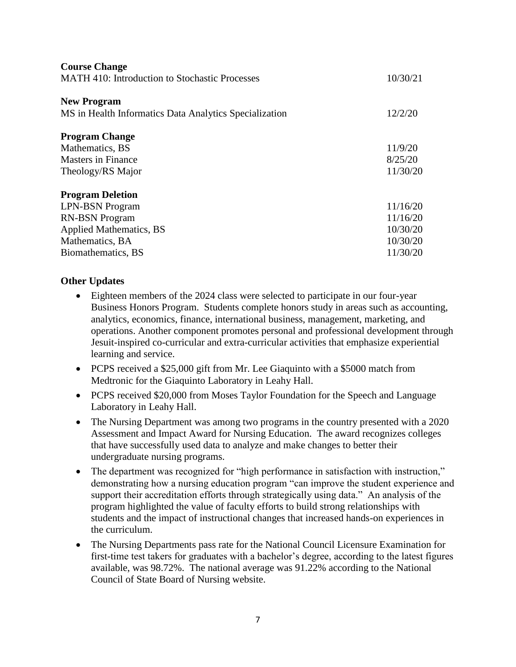| <b>Course Change</b>                                   |          |
|--------------------------------------------------------|----------|
| <b>MATH 410: Introduction to Stochastic Processes</b>  | 10/30/21 |
|                                                        |          |
| <b>New Program</b>                                     |          |
| MS in Health Informatics Data Analytics Specialization |          |
|                                                        |          |
| <b>Program Change</b>                                  |          |
| Mathematics, BS                                        | 11/9/20  |
| <b>Masters in Finance</b>                              | 8/25/20  |
| Theology/RS Major                                      | 11/30/20 |
|                                                        |          |
| <b>Program Deletion</b>                                |          |
| <b>LPN-BSN Program</b>                                 | 11/16/20 |
| <b>RN-BSN</b> Program                                  | 11/16/20 |
| <b>Applied Mathematics, BS</b>                         | 10/30/20 |
| Mathematics, BA                                        | 10/30/20 |
| Biomathematics, BS                                     | 11/30/20 |

# **Other Updates**

- Eighteen members of the 2024 class were selected to participate in our four-year Business Honors Program. Students complete honors study in areas such as accounting, analytics, economics, finance, international business, management, marketing, and operations. Another component promotes personal and professional development through Jesuit-inspired co-curricular and extra-curricular activities that emphasize experiential learning and service.
- PCPS received a \$25,000 gift from Mr. Lee Giaquinto with a \$5000 match from Medtronic for the Giaquinto Laboratory in Leahy Hall.
- PCPS received \$20,000 from Moses Taylor Foundation for the Speech and Language Laboratory in Leahy Hall.
- The Nursing Department was among two programs in the country presented with a 2020 Assessment and Impact Award for Nursing Education. The award recognizes colleges that have successfully used data to analyze and make changes to better their undergraduate nursing programs.
- The department was recognized for "high performance in satisfaction with instruction," demonstrating how a nursing education program "can improve the student experience and support their accreditation efforts through strategically using data." An analysis of the program highlighted the value of faculty efforts to build strong relationships with students and the impact of instructional changes that increased hands-on experiences in the curriculum.
- The Nursing Departments pass rate for the National Council Licensure Examination for first-time test takers for graduates with a bachelor's degree, according to the latest figures available, was 98.72%. The national average was 91.22% according to the National Council of State Board of Nursing website.